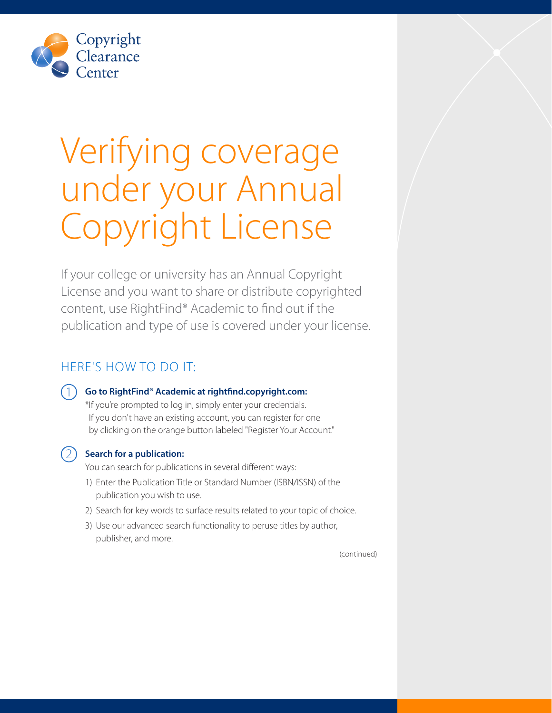

# Verifying coverage under your Annual Copyright License

If your college or university has an Annual Copyright License and you want to share or distribute copyrighted content, use RightFind® Academic to find out if the publication and type of use is covered under your license.

# HERE'S HOW TO DO IT:

### 1 **Go to RightFind® Academic at [rightfind.copyright.com](http://rightfind.copyright.com):**

\*If you're prompted to log in, simply enter your credentials. If you don't have an existing account, you can register for one by clicking on the orange button labeled "Register Your Account."

#### 2 **Search for a publication:**

You can search for publications in several different ways:

- 1) Enter the Publication Title or Standard Number (ISBN/ISSN) of the publication you wish to use.
- 2) Search for key words to surface results related to your topic of choice.
- 3) Use our advanced search functionality to peruse titles by author, publisher, and more.

(continued)